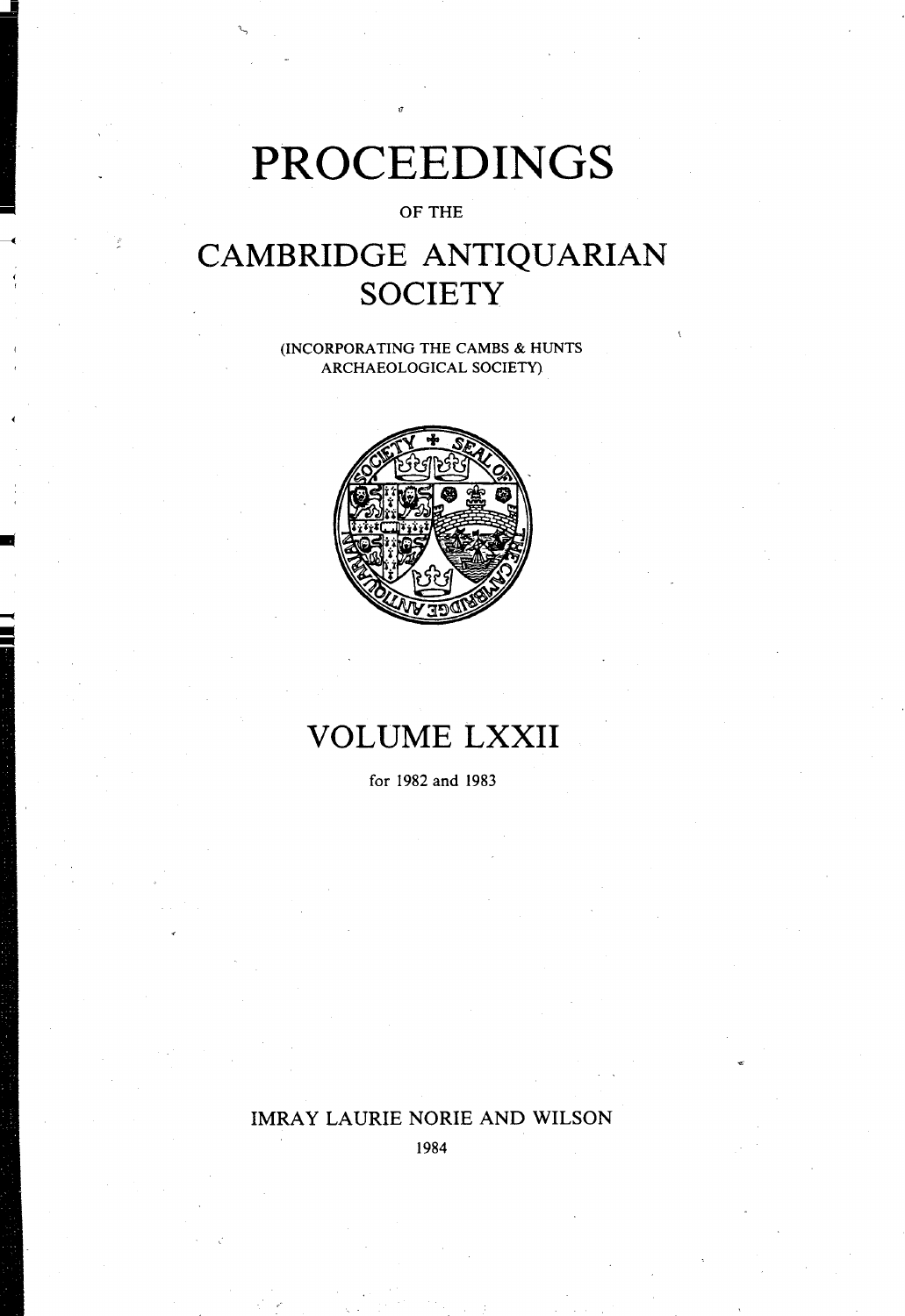# PROCEEDINGS

## OF THE

# CAMBRIDGE ANTIQUARIAN **SOCIETY**

(INCORPORATING THE CAMBS & HUNTS . ARCHAEOLOGICAL SOCIETY)



# VOLUME LXXII

for 1982 and 1983

### IMRAY LAURIE NORIE AND WILSON

. 1984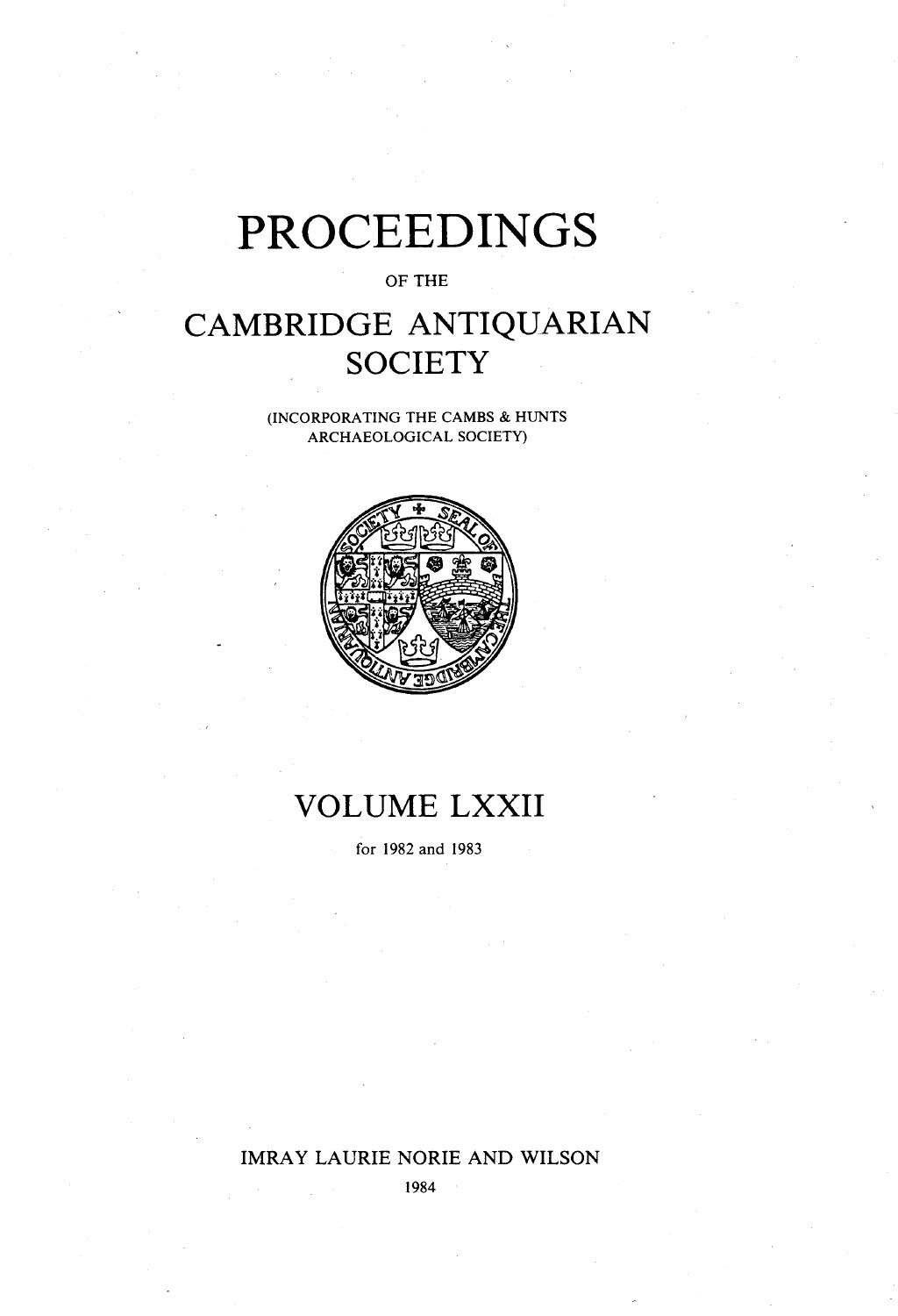# PROCEEDINGS

## OF THE

# CAMBRIDGE ANTIQUARIAN **SOCIETY**

(INCORPORATING THE CAMBS & HUNTS ARCHAEOLOGICAL SOCIETY)



## VOLUME LXXII

for 1982 and 1983

## IMRAY LAURIE NORIE AND WILSON

. 1984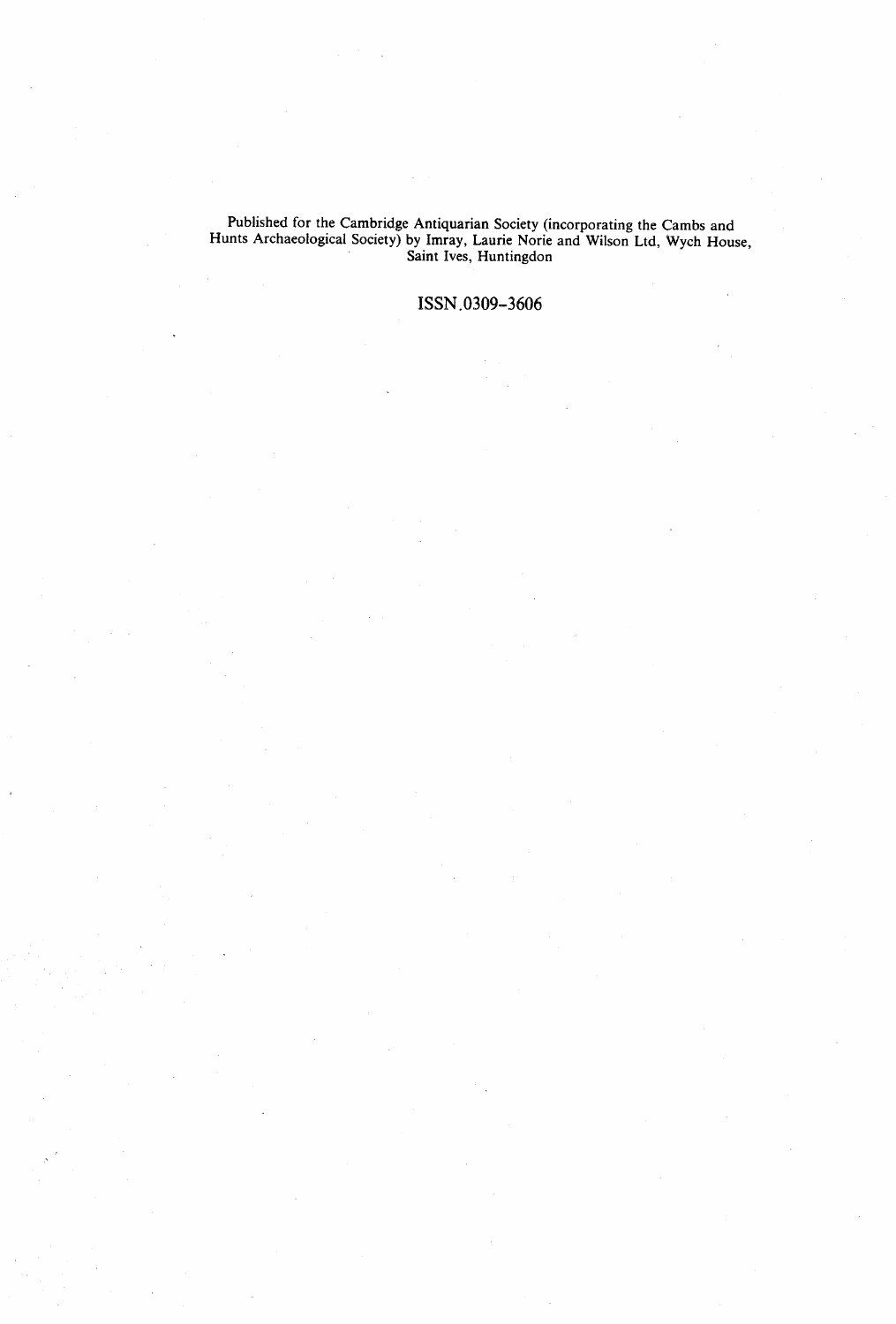Published for the Cambridge Antiquarian Society (incorporating the Cambs and Hunts Archaeological Society) by Imray, Laurie Norie and Wilson Ltd, Wych House, **Saint Ives, Huntingdon** 

ISSN.0309-3606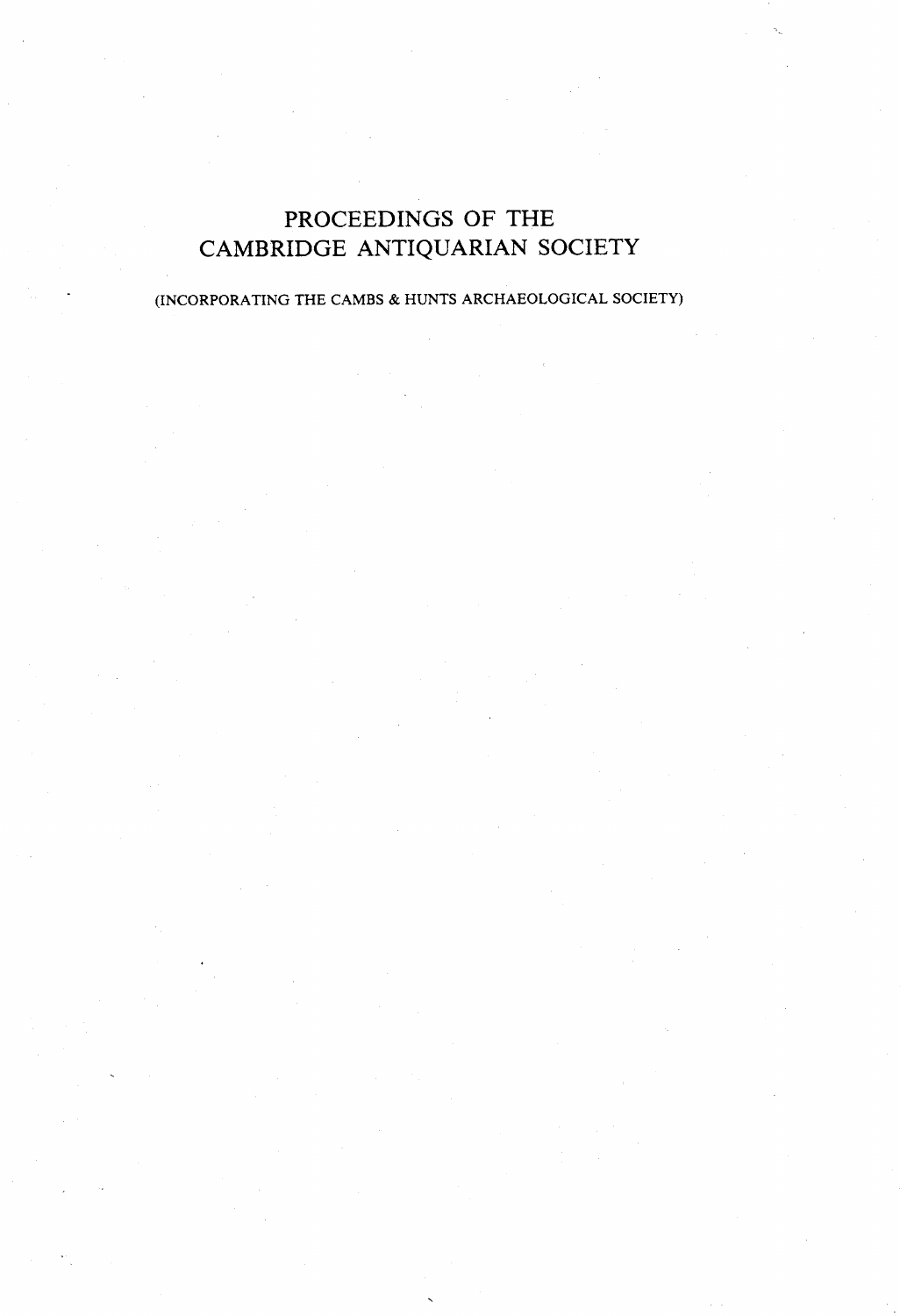## PROCEEDINGS OF THE CAMBRIDGE ANTIQUARIAN SOCIETY

(INCORPORATING THE CAMBS & HUNTS ARCHAEOLOGICAL SOCIETY)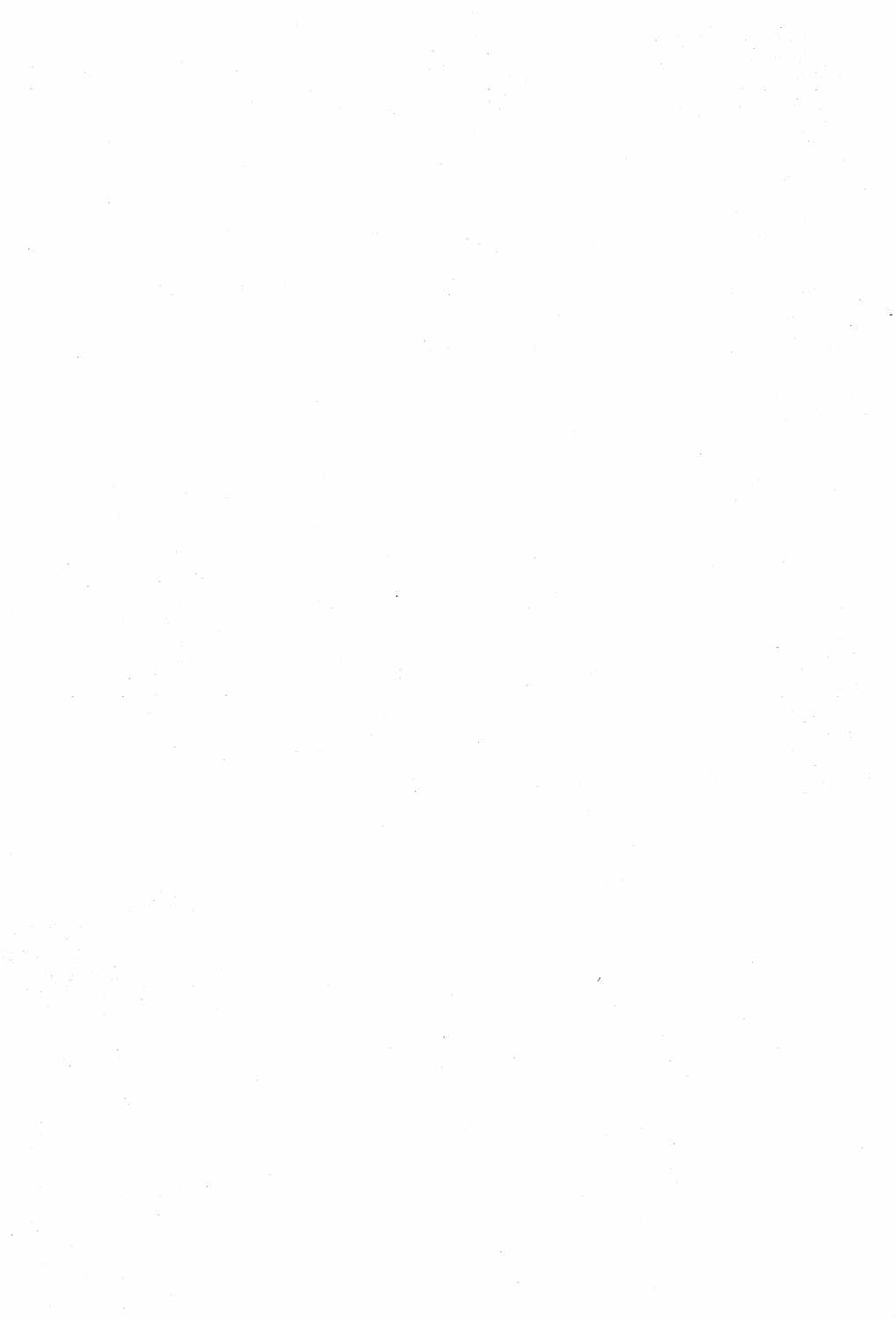$\label{eq:2} \frac{1}{\sqrt{2}}\left(\frac{1}{\sqrt{2}}\right)^{2} \frac{d\theta}{\sqrt{2}}\,.$  $\label{eq:2} \mathcal{L} = \frac{1}{2} \sum_{i=1}^n \frac{1}{2} \sum_{j=1}^n \frac{1}{2} \sum_{j=1}^n \frac{1}{2} \sum_{j=1}^n \frac{1}{2} \sum_{j=1}^n \frac{1}{2} \sum_{j=1}^n \frac{1}{2} \sum_{j=1}^n \frac{1}{2} \sum_{j=1}^n \frac{1}{2} \sum_{j=1}^n \frac{1}{2} \sum_{j=1}^n \frac{1}{2} \sum_{j=1}^n \frac{1}{2} \sum_{j=1}^n \frac{1}{2} \sum_{j=1}$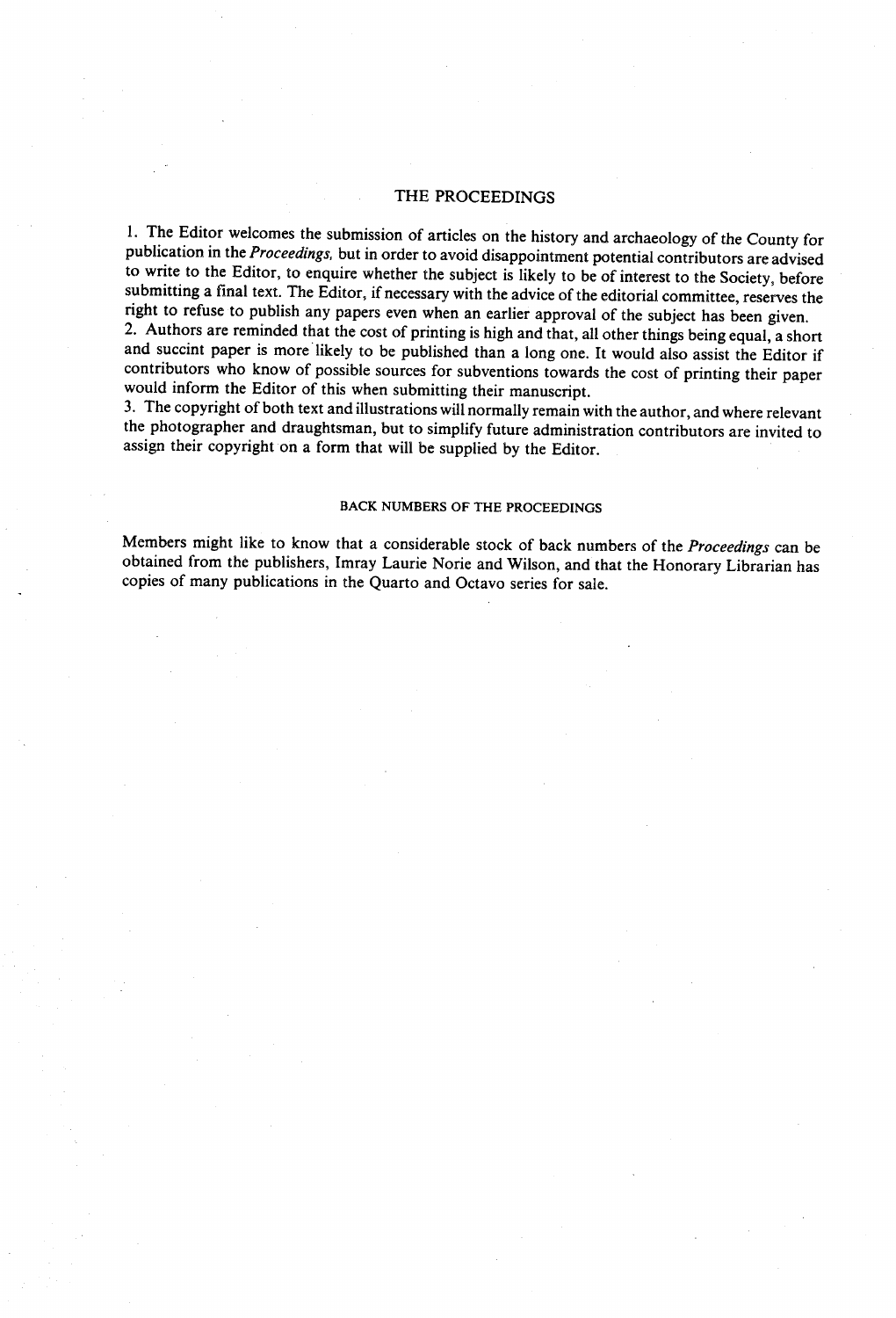#### THE PROCEEDINGS

The Editor welcomes the submission of articles on the history and archaeology of the County for publication in the *Proceedings, but* in order to avoid disappointment potential contributors are advised to write to the Editor, to enquire whether the subject is likely to be of interest to the Society, before submitting a final text. The Editor, if necessary with the advice of the editorial committee, reserves the right to refuse to publish any papers even when an earlier approval of the subject has been given. Authors are reminded that the cost of printing is high and that, all other things being equal, a short and succint paper is more likely to be published than a long one. It would also assist the Editor if contributors who know of possible sources for subventions towards the cost of printing their paper would inform the Editor of this when submitting their manuscript.

3. The copyright of both text and illustrations will normally remain with the author, and where relevant the photographer and draughtsman, but to simplify future administration contributors are invited to assign their copyright on a form that will be supplied by the Editor.

#### BACK NUMBERS OF THE PROCEEDINGS

Members might like to know that a considerable stock of back numbers of the *Proceedings can be*  obtained from the publishers, Imray Laurie None and Wilson, and that the Honorary Librarian has copies of many publications in the Quarto and Octavo series for sale.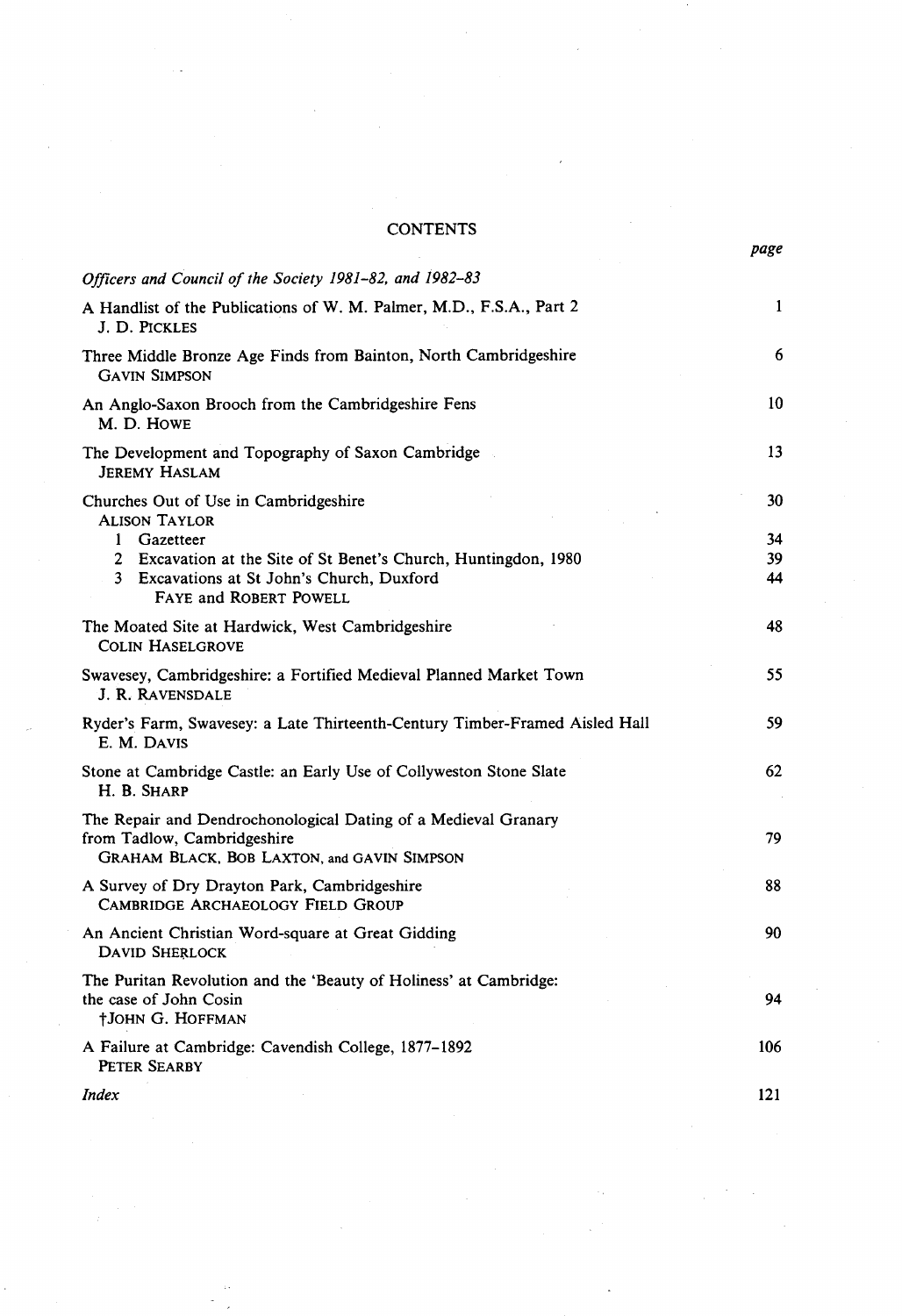| CONTENTS |
|----------|
|          |

|                                                                                                                                              | page |
|----------------------------------------------------------------------------------------------------------------------------------------------|------|
| Officers and Council of the Society 1981-82, and 1982-83                                                                                     |      |
| A Handlist of the Publications of W. M. Palmer, M.D., F.S.A., Part 2<br>J. D. PICKLES                                                        | 1    |
| Three Middle Bronze Age Finds from Bainton, North Cambridgeshire<br><b>GAVIN SIMPSON</b>                                                     | 6    |
| An Anglo-Saxon Brooch from the Cambridgeshire Fens<br>M. D. Howe                                                                             | 10   |
| The Development and Topography of Saxon Cambridge<br><b>JEREMY HASLAM</b>                                                                    | 13   |
| Churches Out of Use in Cambridgeshire<br><b>ALISON TAYLOR</b>                                                                                | 30   |
| 1 Gazetteer                                                                                                                                  | 34   |
| 2 Excavation at the Site of St Benet's Church, Huntingdon, 1980                                                                              | 39   |
| 3 Excavations at St John's Church, Duxford<br><b>FAYE and ROBERT POWELL</b>                                                                  | 44   |
| The Moated Site at Hardwick, West Cambridgeshire<br><b>COLIN HASELGROVE</b>                                                                  | 48   |
| Swavesey, Cambridgeshire: a Fortified Medieval Planned Market Town<br>J. R. RAVENSDALE                                                       | 55   |
| Ryder's Farm, Swavesey: a Late Thirteenth-Century Timber-Framed Aisled Hall<br>E. M. DAVIS                                                   | 59   |
| Stone at Cambridge Castle: an Early Use of Collyweston Stone Slate<br>H. B. SHARP                                                            | 62   |
| The Repair and Dendrochonological Dating of a Medieval Granary<br>from Tadlow, Cambridgeshire<br>GRAHAM BLACK, BOB LAXTON, and GAVIN SIMPSON | 79   |
| A Survey of Dry Drayton Park, Cambridgeshire<br>CAMBRIDGE ARCHAEOLOGY FIELD GROUP                                                            | 88   |
| An Ancient Christian Word-square at Great Gidding<br>DAVID SHERLOCK                                                                          | 90   |
| The Puritan Revolution and the 'Beauty of Holiness' at Cambridge:<br>the case of John Cosin<br>†JOHN G. HOFFMAN                              | 94   |
| A Failure at Cambridge: Cavendish College, 1877-1892<br>PETER SEARBY                                                                         | 106  |

*Index* 121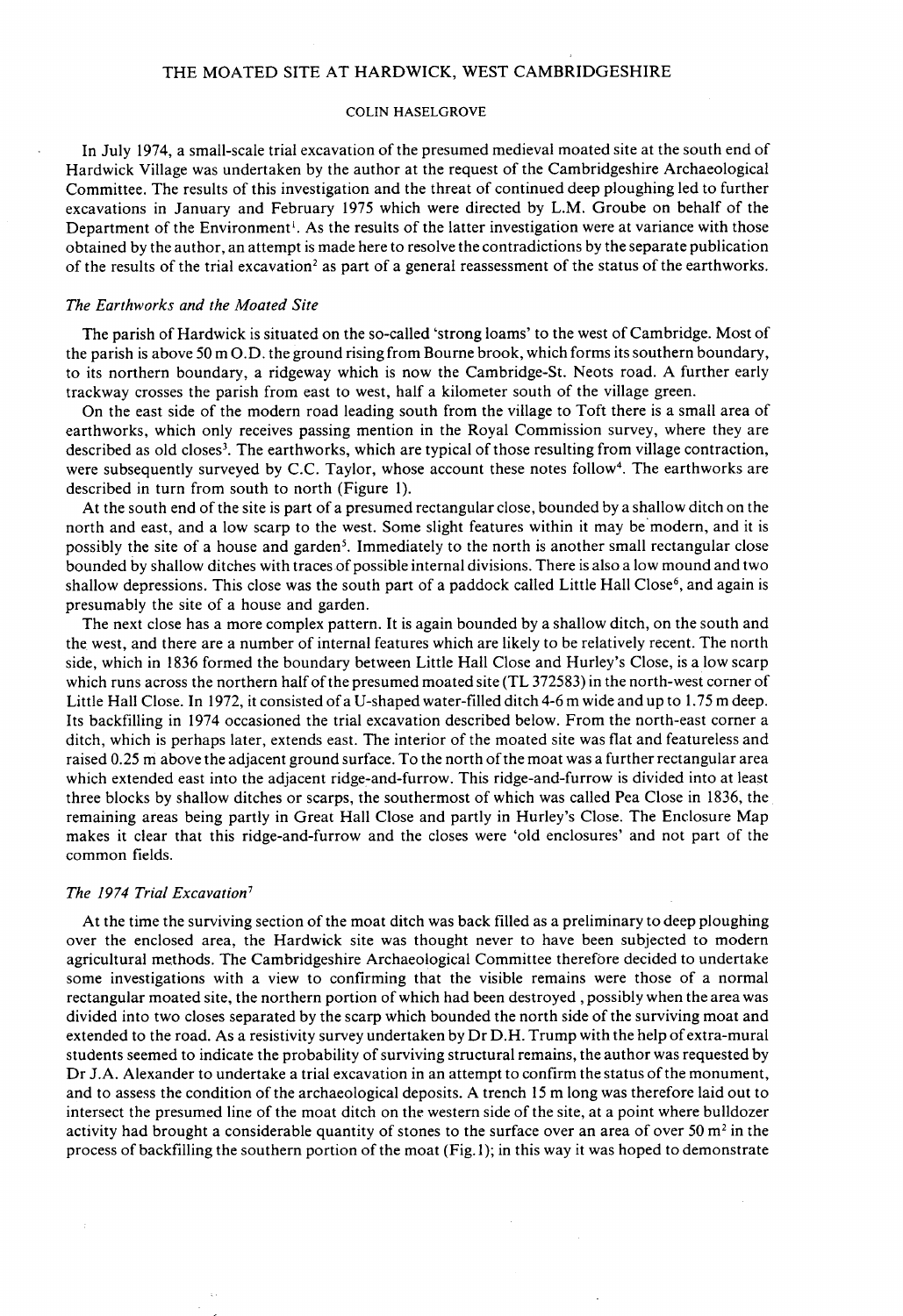#### THE MOATED SITE AT HARDWICK, WEST CAMBRIDGESHIRE

#### COLIN HASELGROVE

In July 1974, a small-scale trial excavation of the presumed medieval moated site at the south end of Hardwick Village was undertaken by the author at the request of the Cambridgeshire Archaeological Committee. The results of this investigation and the threat of continued deep ploughing led to further excavations in January and February *1975* which were directed by L.M. Groube on behalf of the Department of the Environment'. As the results of the latter investigation were at variance with those obtained by the author, an attempt is made here to resolve the contradictions by the separate publication of the results of the trial excavation' as part of a general reassessment of the status of the earthworks.

#### *The Earthworks and the Moated Site*

The parish of Hardwick is situated on the so-called 'strong loams' to the west of Cambridge. Most of the parish is above *50* m O.D. the ground rising from Bourne brook, which forms its southern boundary, to its northern boundary, a ridgeway which is now the Cambridge-St. Neots road. A further early trackway crosses the parish from east to west, half a kilometer south of the village green.

On the east side of the modern road leading south from the village to Toft there is a small area of earthworks, which only receives passing mention in the Royal Commission survey, where they are described as old closes'. The earthworks, which are typical of those resulting from village contraction, were subsequently surveyed by C.C. Taylor, whose account these notes follow<sup>4</sup>. The earthworks are described in turn from south to north (Figure 1).

At the south end of the site is part of a presumed rectangular close, bounded by a shallow ditch on the north and east, and a low scarp to the west. Some slight features within it may be modern, and it is possibly the site of a house and garden<sup>5</sup>. Immediately to the north is another small rectangular close bounded by shallow ditches with traces of possible internal divisions. There is also a low mound and two shallow depressions. This close was the south part of a paddock called Little Hall Close', and again is presumably the site of a house and garden.

The next close has a more complex pattern. It is again bounded by a shallow ditch, on the south and the west, and there are a number of internal features which are likely to be relatively recent. The north side, which in 1836 formed the boundary between Little Hall Close and Hurley's Close, is a low scarp which runs across the northern half ofthe presumed moated site (TL 372583) in the north-west corner of Little Hall Close. In 1972, it consisted of U-shaped water-filled ditch 4-6 m wide and up to *1.75* m deep. Its backfilling in 1974 occasioned the trial excavation described below. From the north-east corner a ditch, which is perhaps later, extends east. The interior of the moated site was flat and featureless and raised 0.25 m above the adjacent ground surface. To the north of the moat was a further rectangular area which extended east into the adjacent ridge-and-furrow. This ridge-and-furrow is divided into at least three blocks by shallow ditches or scarps, the southermost of which was called Pea Close in 1836, the remaining areas being partly in Great Hall Close and partly in Hurley's Close. The Enclosure Map makes it clear that this ridge-and-furrow and the closes were 'old enclosures' and not part of the common fields.

#### *The 1974 Trial Excavation*

At the time the surviving section of the moat ditch was back filled as a preliminary to deep ploughing over the enclosed area, the Hardwick site was thought never to have been subjected to modern agricultural methods. The Cambridgeshire Archaeological Committee therefore decided to undertake some investigations with a view to confirming that the visible remains were those of a normal rectangular moated site, the northern portion of which had been destroyed , possibly when the area was divided into two closes separated by the scarp which bounded the north side of the surviving moat and extended to the road. As a resistivity survey undertaken by Dr D.H. Trump with the help of extra-mural students seemed to indicate the probability of surviving structural remains, the author was requested by Dr J.A. Alexander to undertake a trial excavation in an attempt to confirm the status of the monument, and to assess the condition of the archaeological deposits. A trench 15 m long was therefore laid out to intersect the presumed line of the moat ditch on the western side of the site, at a point where bulldozer activity had brought a considerable quantity of stones to the surface over an area of over  $50 \text{ m}^2$  in the process of backfilling the southern portion of the moat (Fig. 1); in this way it was hoped to demonstrate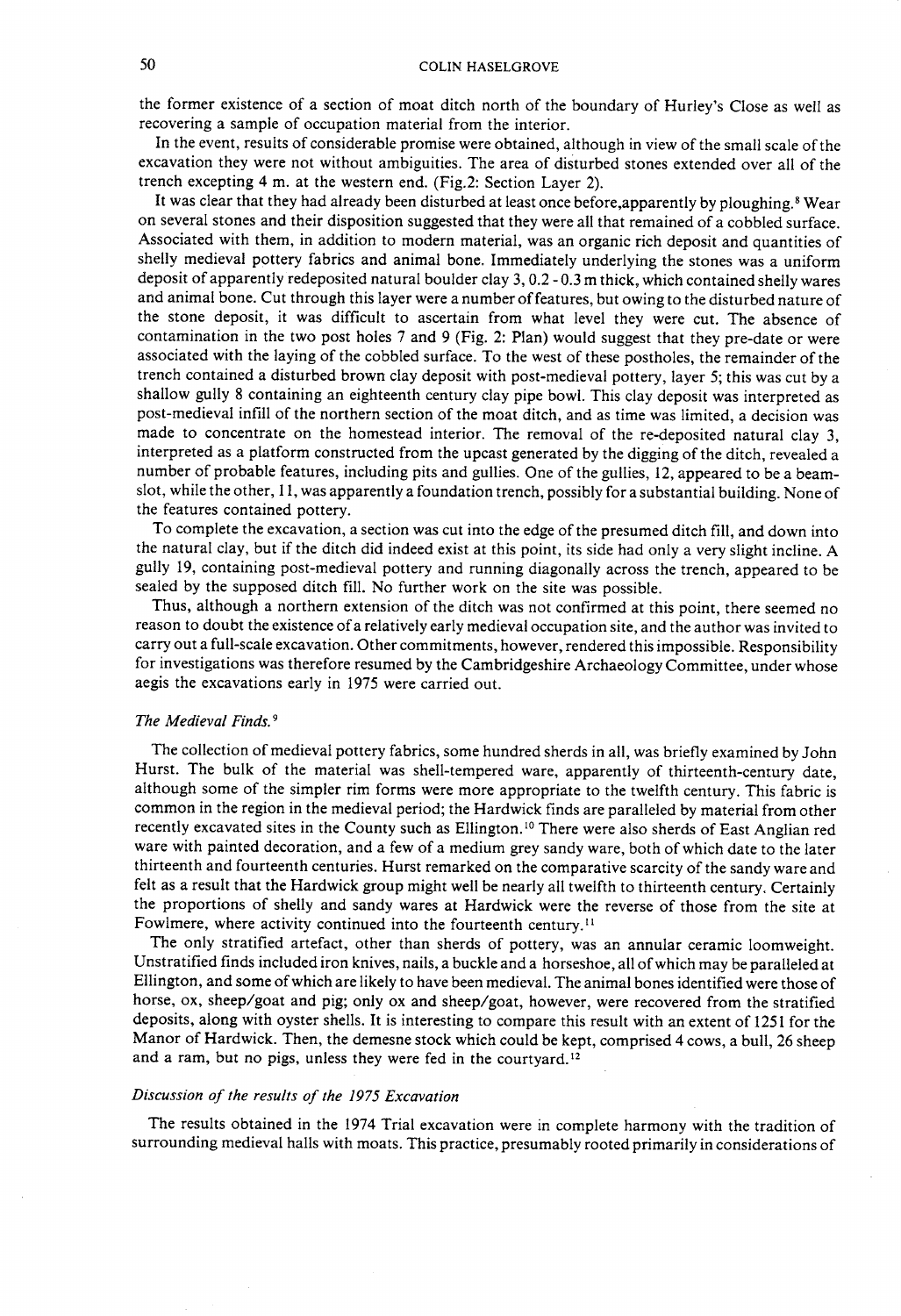the former existence of a section of moat ditch north of the boundary of Hurley's Close as well as recovering a sample of occupation material from the interior.

In the event, results of considerable promise were obtained, although in view of the small scale of the excavation they were not without ambiguities. The area of disturbed stones extended over all of the trench excepting 4 m. at the western end. (Fig.2: Section Layer 2).

It was clear that they had already been disturbed at least once before, apparently by ploughing.<sup>8</sup> Wear on several stones and their disposition suggested that they were all that remained of a cobbled surface. Associated with them, in addition to modern material, was an organic rich deposit and quantities of shelly medieval pottery fabrics and animal bone. Immediately underlying the stones was a uniform deposit of apparently redeposited natural boulder clay 3, 0.2 - 0.3 m thick, which contained shelly wares and animal bone. Cut through this layer were a number of features, but owing to the disturbed nature of the stone deposit, it was difficult to ascertain from what level they were cut. The absence of contamination in the two post holes 7 and 9 (Fig. 2: Plan) would suggest that they pre-date or were associated with the laying of the cobbled surface. To the west of these postholes, the remainder of the trench contained a disturbed brown clay deposit with post-medieval pottery, layer *5;* this was cut by a shallow gully 8 containing an eighteenth century clay pipe bowl. This clay deposit was interpreted as post-medieval infill of the northern section of the moat ditch, and as time was limited, a decision was made to concentrate on the homestead interior. The removal of the re-deposited natural clay 3, interpreted as a platform constructed from the upcast generated by the digging of the ditch, revealed a number of probable features, including pits and gullies. One of the gullies, 12, appeared to be a beamslot, while the other, 11, was apparently a foundation trench, possibly for a substantial building. None of the features contained pottery.

To complete the excavation, a section was cut into the edge of the presumed ditch fill, and down into the natural clay, but if the ditch did indeed exist at this point, its side had only a very slight incline. A gully 19, containing post-medieval pottery and running diagonally across the trench, appeared to be sealed by the supposed ditch fill. No further work on the site was possible.

Thus, although a northern extension of the ditch was not confirmed at this point, there seemed no reason to doubt the existence of a relatively early medieval occupation site, and the author was invited to carry out a full-scale excavation. Other commitments, however, rendered this impossible. Responsibility for investigations was therefore resumed by the Cambridgeshire Archaeology Committee, under whose aegis the excavations early in *1975* were carried out.

#### *The Medieval Finds. <sup>9</sup>*

The collection of medieval pottery fabrics, some hundred sherds in all, was briefly examined by John Hurst. The bulk of the material was shell-tempered ware, apparently of thirteenth-century date, although some of the simpler rim forms were more appropriate to the twelfth century. This fabric is common in the region in the medieval period; the Hardwick finds are paralleled by material from other recently excavated sites in the County such as Ellington.<sup>10</sup> There were also sherds of East Anglian red ware with painted decoration, and a few of a medium grey sandy ware, both of which date to the later thirteenth and fourteenth centuries. Hurst remarked on the comparative scarcity of the sandy ware and felt as a result that the Hardwick group might well be nearly all twelfth to thirteenth century. Certainly the proportions of shelly and sandy wares at Hardwick were the reverse of those from the site at Fowlmere, where activity continued into the fourteenth century.<sup>11</sup>

The only stratified artefact, other than sherds of pottery, was an annular ceramic loomweight. Unstratified finds included iron knives, nails, a buckle and a horseshoe, all of which may be paralleled at Ellington, and some of which are likely to have been medieval. The animal bones identified were those of horse, ox, sheep/goat and pig; only ox and sheep/goat, however, were recovered from the stratified deposits, along with oyster shells. It is interesting to compare this result with an extent of 1251 for the Manor of Hardwick. Then, the demesne stock which could be kept, comprised 4 cows, a bull, 26 sheep and a ram, but no pigs, unless they were fed in the courtyard. 12

#### *Discussion of the results of the 1975 Excavation*

The results obtained in the 1974 Trial excavation were in complete harmony with the tradition of surrounding medieval halls with moats. This practice, presumably rooted primarily in considerations of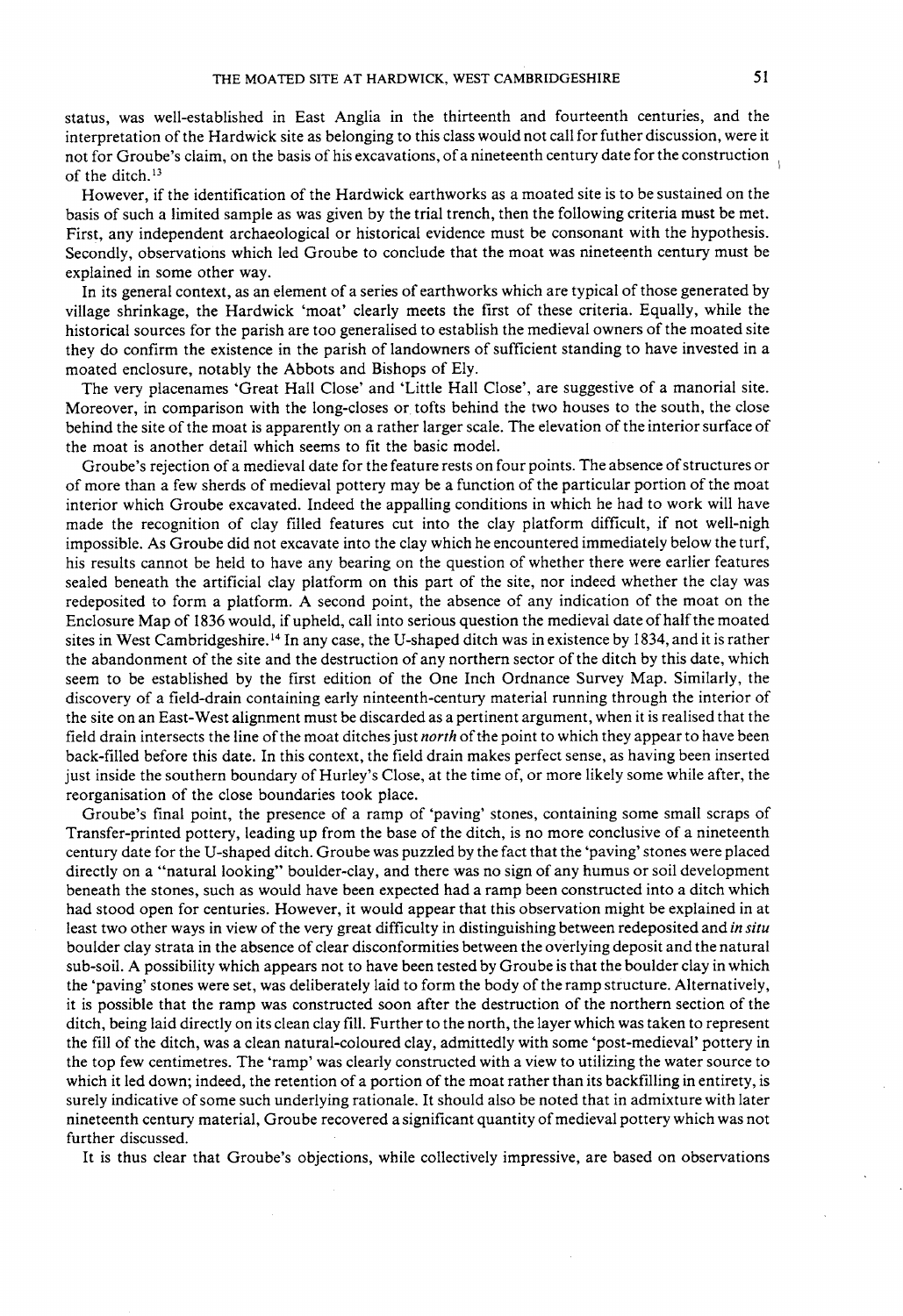status, was well-established in East Anglia in the thirteenth and fourteenth centuries, and the interpretation of the Hardwick site as belonging to this class would not call for futher discussion, were it not for Groube's claim, on the basis of his excavations, of a nineteenth century date for the construction of the ditch. <sup>13</sup>

However, if the identification of the Hardwick earthworks as a moated site is to be sustained on the basis of such a limited sample as was given by the trial trench, then the following criteria must be met. First, any independent archaeological or historical evidence must be consonant with the hypothesis. Secondly, observations which led Groube to conclude that the moat was nineteenth century must be explained in some other way.

In its general context, as an element of a series of earthworks which are typical of those generated by village shrinkage, the Hardwick 'moat' clearly meets the first of these criteria. Equally, while the historical sources for the parish are too generalised to establish the medieval owners of the moated site they do confirm the existence in the parish of landowners of sufficient standing to have invested in a moated enclosure, notably the Abbots and Bishops of Ely.

The very placenames 'Great Hall Close' and 'Little Hall Close', are suggestive of a manorial site. Moreover, in comparison with the long-closes or tofts behind the two houses to the south, the close behind the site of the moat is apparently on a rather larger scale. The elevation of the interior surface of the moat is another detail which seems to fit the basic model.

Groube's rejection of a medieval date for the feature rests on four points. The absence of structures or of more than a few sherds of medieval pottery may be a function of the particular portion of the moat interior which Groube excavated. Indeed the appalling conditions in which he had to work will have made the recognition of clay filled features cut into the clay platform difficult, if not well-nigh impossible. As Groube did not excavate into the clay which he encountered immediately below the turf, his results cannot be held to have any bearing on the question of whether there were earlier features sealed beneath the artificial clay platform on this part of the site, nor indeed whether the clay was redeposited to form a platform. A second point, the absence of any indication of the moat on the Enclosure Map of 1836 would, if upheld, call into serious question the medieval date of half the moated sites in West Cambridgeshire. 14 In any case, the U-shaped ditch was in existence by 1834, and it is rather the abandonment of the site and the destruction of any northern sector of the ditch by this date, which seem to be established by the first edition of the One Inch Ordnance Survey Map. Similarly, the discovery of a field-drain containing early ninteenth-century material running through the interior of the site on an East-West alignment must be discarded as a pertinent argument, when it is realised that the field drain intersects the line of the moat ditches just *north of* the point to which they appear to have been back-filled before this date. In this context, the field drain makes perfect sense, as having been inserted just inside the southern boundary of Hurley's Close, at the time of, or more likely some while after, the reorganisation of the close boundaries took place.

Groube's final point, the presence of a ramp of 'paving' stones, containing some small scraps of Transfer-printed pottery, leading up from the base of the ditch, is no more conclusive of a nineteenth century date for the U-shaped ditch. Groube was puzzled by the fact that the 'paving' stones were placed directly on a "natural looking" boulder-clay, and there was no sign of any humus or soil development beneath the stones, such as would have been expected had a ramp been constructed into a ditch which had stood open for centuries. However, it would appear that this observation might be explained in at least two other ways in view of the very great difficulty in distinguishing between redeposited and *in situ*  boulder clay strata in the absence of clear disconformities between the overlying deposit and the natural sub-soil. A possibility which appears not to have been tested by Groube is that the boulder clay in which the 'paving' stones were set, was deliberately laid to form the body of the ramp structure. Alternatively, it is possible that the ramp was constructed soon after the destruction of the northern section of the ditch, being laid directly on its clean clay fill. Further to the north, the layer which was taken to represent the fill of the ditch, was a clean natural-coloured clay, admittedly with some 'post-medieval' pottery in the top few centimetres. The 'ramp' was clearly constructed with a view to utilizing the water source to which it led down; indeed, the retention of a portion of the moat rather than its backfilling in entirety, is surely indicative of some such underlying rationale. It should also be noted that in admixture with later nineteenth century material, Groube recovered a significant quantity of medieval pottery which was not further discussed.

It is thus clear that Groube's objections, while collectively impressive, are based on observations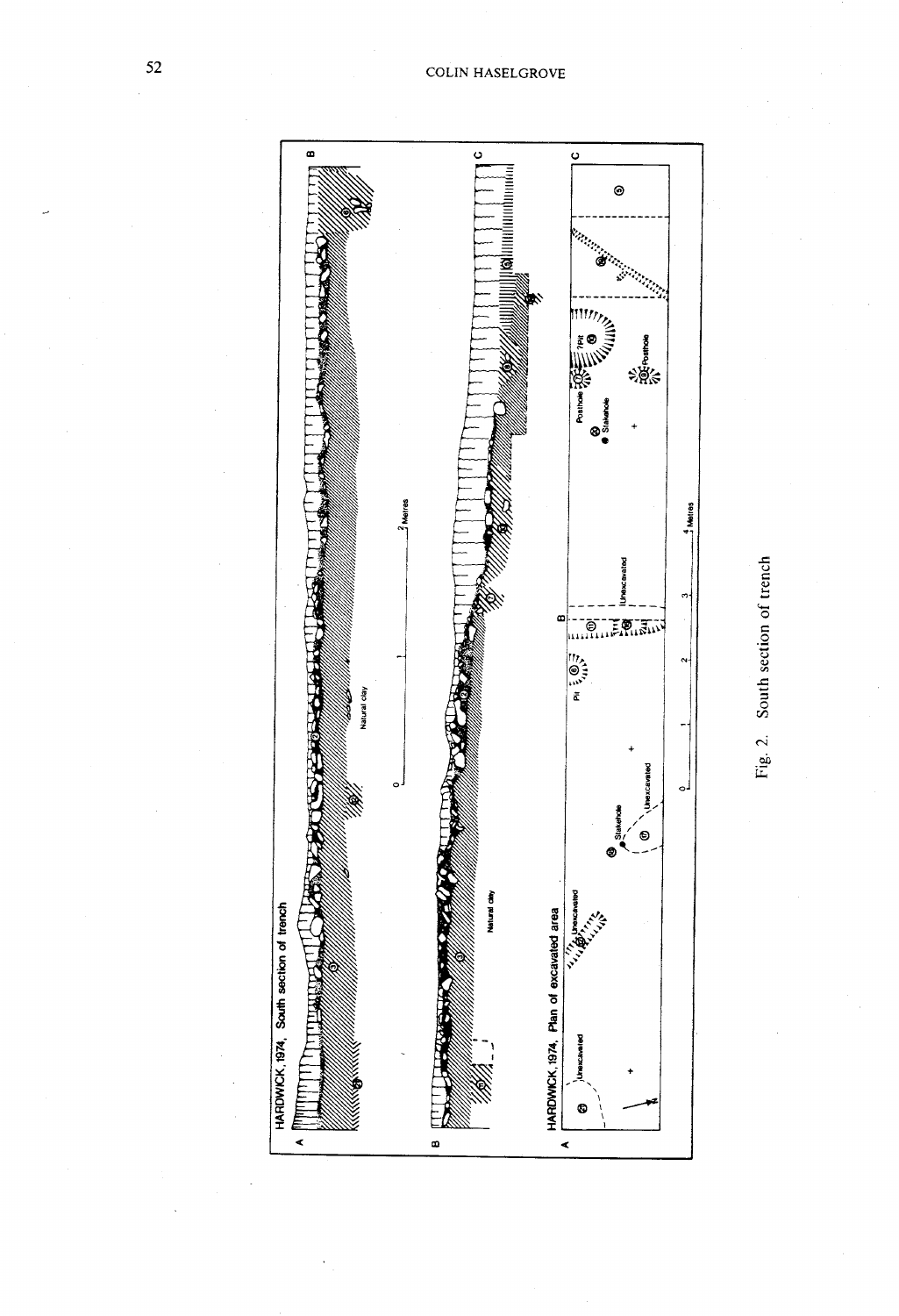

Fig. 2. South section of trench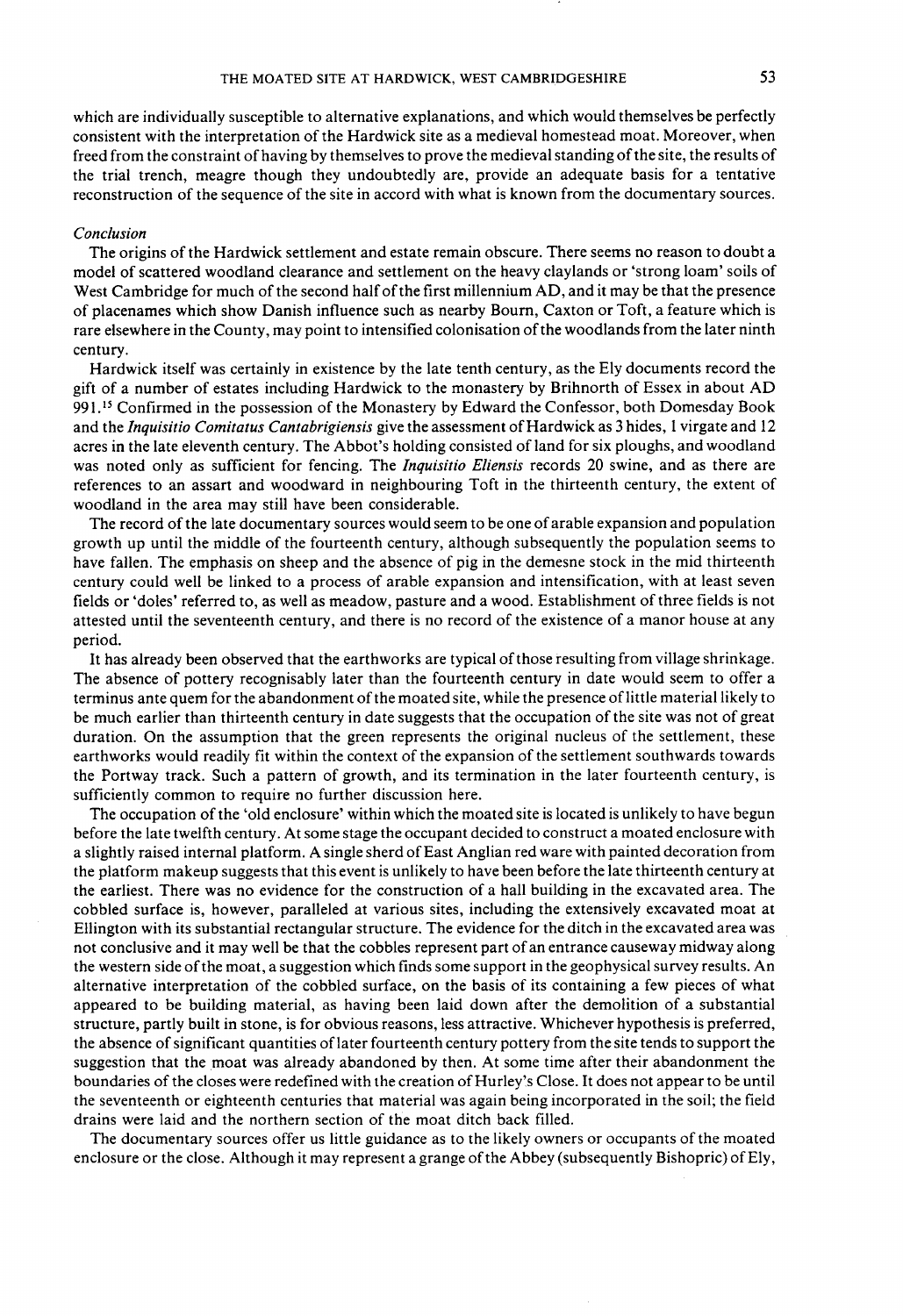which are individually susceptible to alternative explanations, and which would themselves be perfectly consistent with the interpretation of the Hardwick site as a medieval homestead moat. Moreover, when freed from the constraint of having by themselves to prove the medieval standing of the site, the results of the trial trench, meagre though they undoubtedly are, provide an adequate basis for a tentative reconstruction of the sequence of the site in accord with what is known from the documentary sources.

#### *Conclusion*

The origins of the Hardwick settlement and estate remain obscure. There seems no reason to doubt a model of scattered woodland clearance and settlement on the heavy claylands or 'strong loam' soils of West Cambridge for much of the second half of the first millennium AD, and it may be that the presence of placenames which show Danish influence such as nearby Bourn, Caxton or Toft, a feature which is rare elsewhere in the County, may point to intensified colonisation of the woodlands from the later ninth century.

Hardwick itself was certainly in existence by the late tenth century, as the Ely documents record the gift of a number of estates including Hardwick to the monastery by Brihnorth of Essex in about AD 991.<sup>15</sup> Confirmed in the possession of the Monastery by Edward the Confessor, both Domesday Book and the *Inquisitio Cornitatus Cantabrigiensis give* the assessment of Hardwick as 3 hides, 1 virgate and 12 acres in the late eleventh century. The Abbot's holding consisted of land for six ploughs, and woodland was noted only as sufficient for fencing. The *Inquisitio Eliensis* records 20 swine, and as there are references to an assart and woodward in neighbouring Toft in the thirteenth century, the extent of woodland in the area may still have been considerable.

The record of the late documentary sources would seem to be one of arable expansion and population growth up until the middle of the fourteenth century, although subsequently the population seems to have fallen. The emphasis on sheep and the absence of pig in the demesne stock in the mid thirteenth century could well be linked to a process of arable expansion and intensification, with at least seven fields or 'doles' referred to, as well as meadow, pasture and a wood. Establishment of three fields is not attested until the seventeenth century, and there is no record of the existence of a manor house at any period.

It has already been observed that the earthworks are typical of those resulting from village shrinkage. The absence of pottery recognisably later than the fourteenth century in date would seem to offer a terminus ante quem for the abandonment of the moated site, while the presence of little material likely to be much earlier than thirteenth century in date suggests that the occupation of the site was not of great duration. On the assumption that the green represents the original nucleus of the settlement, these earthworks would readily fit within the context of the expansion of the settlement southwards towards the Portway track. Such a pattern of growth, and its termination in the later fourteenth century, is sufficiently common to require no further discussion here.

The occupation of the 'old enclosure' within which the moated site is located is unlikely to have begun before the late twelfth century. At some stage the occupant decided to construct a moated enclosure with a slightly raised internal platform. A single sherd of East Anglian red ware with painted decoration from the platform makeup suggests that this event is unlikely to have been before the late thirteenth century at the earliest. There was no evidence for the construction of a hail building in the excavated area. The cobbled surface is, however, paralleled at various sites, including the extensively excavated moat at Ellington with its substantial rectangular structure. The evidence for the ditch in the excavated area was not conclusive and it may well be that the cobbles represent part of an entrance causeway midway along the western side of the moat, a suggestion which finds some support in the geophysical survey results. An alternative interpretation of the cobbled surface, on the basis of its containing a few pieces of what appeared to be building material, as having been laid down after the demolition of a substantial structure, partly built in stone, is for obvious reasons, less attractive. Whichever hypothesis is preferred, the absence of significant quantities of later fourteenth century pottery from the site tends to support the suggestion that the moat was already abandoned by then. At some time after their abandonment the boundaries of the closes were redefined with the creation of Hurley's Close. It does not appear to be until the seventeenth or eighteenth centuries that material was again being incorporated in the soil; the field drains were laid and the northern section of the moat ditch back filled.

The documentary sources offer us little guidance as to the likely owners or occupants of the moated enclosure or the close. Although it may represent a grange of the Abbey (subsequently Bishopric) of Ely,